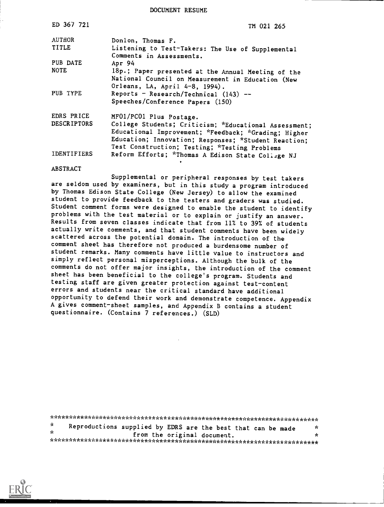DOCUMENT RESUME

| ED 367 721         | TM 021 265                                            |
|--------------------|-------------------------------------------------------|
| <b>AUTHOR</b>      | Donlon, Thomas F.                                     |
| TITLE              | Listening to Test-Takers: The Use of Supplemental     |
|                    | Comments in Assessments.                              |
| PUB DATE           | Apr 94                                                |
| <b>NOTE</b>        | 18p.; Paper presented at the Annual Meeting of the    |
|                    | National Council on Measurement in Education (New     |
|                    | Orleans, LA, April 4-8, 1994).                        |
| PUB TYPE           | Reports - Research/Technical $(143)$ --               |
|                    | Speeches/Conference Papers (150)                      |
| EDRS PRICE         | MFO1/PCO1 Plus Postage.                               |
| <b>DESCRIPTORS</b> | College Students; Criticism; *Educational Assessment; |
|                    | Educational Improvement; *Feedback; *Grading; Higher  |
|                    | Education; Innovation; Responses; *Student Reaction;  |
|                    | Test Construction; Testing; *Testing Problems         |
| <b>IDENTIFIERS</b> | Reform Efforts; *Thomas A Edison State College NJ     |
| <b>ABSTRACT</b>    |                                                       |
|                    |                                                       |

Supplemental or peripheral responses by test takers are seldom used by examiners, but in this study a program introduced by Thomas Edison State College (New Jersey) to allow the examined student to provide feedback to the testers and graders was studied. Student comment forms were designed to enable the student to identify problems with the test material or to explain or justify an answer. Results from seven classes indicate that from 11% to 39% of students actually write comments, and that student comments have been widely scattered across the potential domain. The introduction of the comment sheet has therefore not produced a burdensome number of student remarks. Many comments have little value to instructors and simply reflect personal misperceptions. Although the bulk of the comments do not offer major insights, the introduction of the comment sheet has been beneficial to the college's program. Students and testing staff are given greater protection against test-content errors and students near the critical standard have additional opportunity to defend their work and demonstrate competence. Appendix A gives comment-sheet samples, and Appendix B contains a student questionnaire. (Contains 7 references.) (SLD)

 $\mathbf{\hat{x}}$ Reproductions supplied by EDRS are the best that can be made **de** sk. from the original document.  $\mathbf{r}$ 

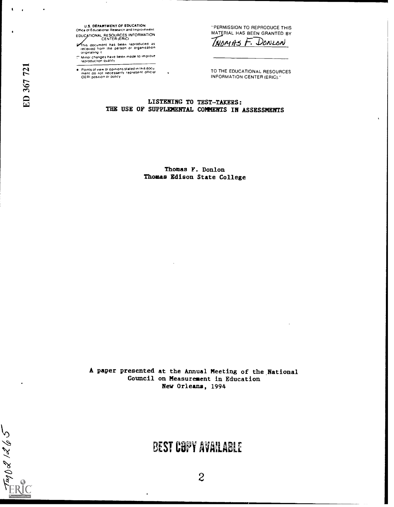**U.S. DEPARTMENT OF EDUCATION** Office of Educational Research and Improvement EDUCATIONAL RESOURCES INFORMATION

This document has been reproduced as<br>received from the person or organization<br>originating it

matrices have been made to improve<br>reproduction quality

Points of view or opinions stated in this document do not necessarily represent official OERI position or policy

"PERMISSION TO REPRODUCE THIS MATERIAL HAS BEEN GRANTED BY THOMAS F. DONLON

TO THE EDUCATIONAL RESOURCES **INFORMATION CENTER (ERIC)."** 

LISTENING TO TEST-TAKERS: THE USE OF SUPPLEMENTAL COMMENTS IN ASSESSMENTS

 $\ddot{\phantom{0}}$ 

Thomas F. Donlon Thomas Edison State College

A paper presented at the Annual Meeting of the National Council on Measurement in Education New Orleans, 1994

# **BEST COPY AVAILABLE**

 $\bullet$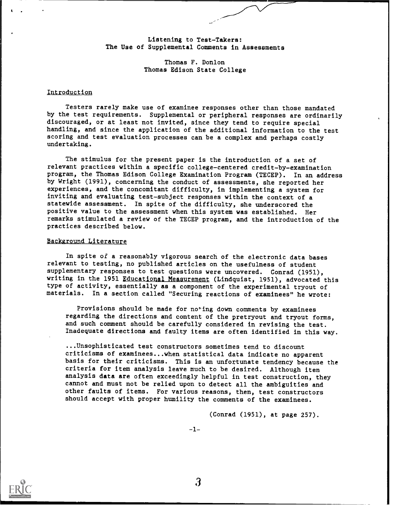Listening to Test-Takers: The Use of Supplemental Comments in Assessments

> Thomas F. Donlon Thomas Edison State College

### Introduction

Testers rarely make use of examinee responses other than those mandated by the test requirements. Supplemental or peripheral responses are ordinarily discouraged, or at least not invited, since they tend to require special handling, and since the application of the additional information to the test scoring and test evaluation processes can be a complex and perhaps costly undertaking.

The stimulus for the present paper is the introduction of a set of relevant practices within a specific college-centered credit-by-examination program, the Thomas Edison College Examination Program (TECEP). In an address by Wright (1991), concerning the conduct of assessments, she reported her experiences, and the concomitant difficulty, in implementing a system for inviting and evaluating test-subject responses within the context of a statewide assessment. In spite of the difficulty, she underscored the positive value to the assessment when this system was established. Her remarks stimulated a review of the TECEP program, and the introduction of the practices described below.

### Background Literature

In spite of a reasonably vigorous search of the electronic data bases relevant to testing, no published articles on the usefulness of student supplementary responses to test questions were uncovered. Conrad (1951), writing in the 1951 Educational Measurement (Lindquist, 1951), advocated this type of activity, essentially as a component of the experimental tryout of materials. In a section called "Securing reactions of examinees" he wrote:

Provisions should be made for noting down comments by examinees regarding the directions and content of the pretryout and tryout forms, and such comment should be carefully considered in revising the test. Inadequate directions and faulty items are often identified in this way.

...Unsophisticated test constructors sometimes tend to discount criticisms of examinees...when statistical data indicate no apparent basis for their criticisms. This is an unfortunate tendency because the criteria for item analysis leave much to be desired. Although item analysis data are often exceedingly helpful in test construction, they cannot and must not be relied upon to detect all the ambiguities and other faults of items. For various reasons, then, test constructors should accept with proper humility the comments of the examinees.

(Conrad (1951), at page 257).

-1-

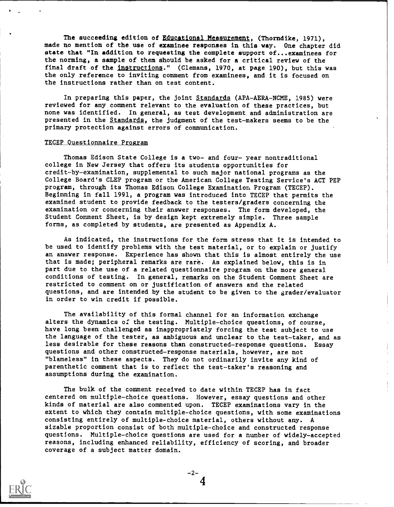The succeeding edition of Educational Measurement, (Thorndike, 1971), made no mention of the use of examinee responses in this way. One chapter did state that "In addition to requesting the complete support of...examinees for the norming, a sample of them should be asked for a critical review of the final draft of the instructions." (Clemans, 1970, at page 190), but this was the only reference to inviting comment from examinees, and it is focused on the instructions rather than on test content.

In preparing this paper, the joint Standards (APA-AERA-NCME, 1985) were reviewed for any comment relevant to the evaluation of these practices, but none was identified. In general, as test development and administration are presented in the Standards, the judgment of the test-makers seems to be the primary protection against errors of communication.

#### TECEP Questionnaire Program

Thomas Edison State College is a two- and four- year nontraditional college in New Jersey that offers its students opportunities for credit-by-examination, supplemental to such major national programs as the College Board's CLEP program or the American College Testing Service's ACT PEP program, through its Thomas Edison College Examination Program (TECEP). Beginning in fall 1991, a program was introduced into TECEP that permits the examined student to provide feedback to the testers/graders concerning the examination or concerning their answer responses. The form developed, the Student Comment Sheet, is by design kept extremely simple. Three sample forms, as completed by students, are presented as Appendix A.

As indicated, the instructions for the form stress that it is intended to be used to identify problems with the test material, or to explain or justify an answer response. Experience has shown that this is almost entirely the use that is made; peripheral remarks are rare. As explained below, this is in part due to the use of a related questionnaire program on the more general conditions of testing. In general, remarks on the Student Comment Sheet are restricted to comment on or justification of answers and the related questions, and are intended by the student to be given to the grader/evaluator in order to win credit if possible.

The availability of this formal channel for an information exchange alters the dynamics of the testing. Multiple-choice questions, of course, have long been challenged as inappropriately forcing the test subject to use the language of the tester, as ambiguous and unclear to the test-taker, and as less desirable for these reasons than constructed-response questions. Essay questions and other constructed-response materials, however, are not "blameless" in these aspects. They do not ordinarily invite any kind of parenthetic comment that is to reflect the test-taker's reasoning and assumptions during the examination.

The bulk of the comment received to date within TECEP has in fact centered on multiple-choice questions. However, essay questions and other kinds of material are also commented upon. TECEP examinations vary in the extent to which they contain multiple-choice questions, with some examinations consisting entirely of multiple-choice material, others without any. A sizable proportion consist of both multiple-choice and constructed response questions. Multiple-choice questions are used for a number of widely-accepted reasons, including enhanced reliability, efficiency of scoring, and broader coverage of a subject matter domain.

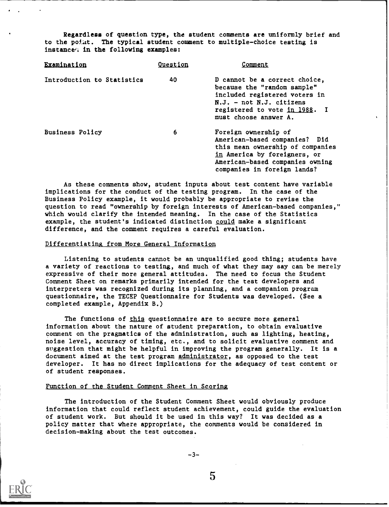Regardless of question type, the student comments are uniformly brief and to the point. The typical student comment to multiple-choice testing is instance<sup>t</sup> in the following examples:

| Examination                | <b>Ouestion</b> | Comment                                                                                                                                                                                     |  |
|----------------------------|-----------------|---------------------------------------------------------------------------------------------------------------------------------------------------------------------------------------------|--|
| Introduction to Statistics | 40              | D cannot be a correct choice,<br>because the "random sample"<br>included registered voters in<br>$N.J. - not N.J. cittzens$<br>registered to vote in 1988. I<br>must choose answer A.       |  |
| Business Policy            | 6               | Foreign ownership of<br>American-based companies? Did<br>this mean ownership of companies<br>in America by foreigners, or<br>American-based companies owning<br>companies in foreign lands? |  |

As these comments show, student inputs about test content have variable implications for the conduct of the testing program. In the case of the Business Policy example, it would probably be appropriate to revise the question to read "ownership by foreign interests of American-based companies," which would clarify the intended meaning. In the case of the Statistics example, the student's indicated distinction could make a significant difference, and the comment requires a careful evaluation.

#### Differentiating from More General Information

Listening to students cannot be an unqualified good thing; students have a variety of reactions to testing, and much of what they may say can be merely expressive of their more general attitudes. The need to focus the Student Comment Sheet on remarks primarily intended for the test developers and interpreters was recognized during its planning, and a companion program questionnaire, the TECEP Questionnaire for Students was developed. (See a completed example, Appendix B.)

The functions of this questionnaire are to secure more general information about the nature of student preparation, to obtain evaluative comment on the pragmatics of the administration, such as lighting, heating, noise level, accuracy of timing, etc., and to solicit evaluative comment and suggestion that might be helpful in improving the program generally. It is a document aimed at the test program administrator, as opposed to the test developer. It has no direct implications for the adequacy of test content or of student responses.

#### Function of the Student Comment Sheet in Scoring

The introduction of the Student Comment Sheet would obviously produce information that could reflect student achievement, could guide the evaluation of student work. But should it be used in this way? It was decided as a policy matter that where appropriate, the comments would be considered in decision-making about the test outcomes.



 $5<sup>1</sup>$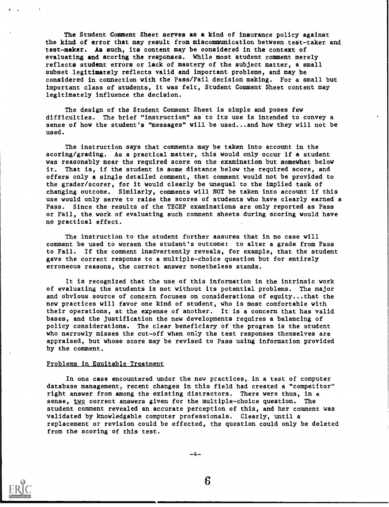The Student Comment Sheet serves as a kind of insurance policy against the kind of error that may result from miscommunication between test-taker and test-maker. As such, its content may be considered in the context of evaluating and scoring the responses. While most student comment merely reflects student errors or lack of mastery of the subject matter, a small subset legitimately reflects valid and important problems, and may be considered in connection with the Pass/Fail decision making. For a small but important class of students, it was felt, Student Comment Sheet content may legitimately influence the decision.

The design of the Student Comment Sheet is simple and poses few difficulties. The brief "instruction" as to its use is intended to convey a sense of how the student's "messages" will be used...and how they will not be used.

The instruction says that comments may be taken into account in the scoring/grading. As a practical matter, this would only occur if a student was reasonably near the required score on the examination but somewhat below it. That is, if the student is some distance below the required score, and offers only a single detailed comment, that comment would not be provided to the grader/scorer, for it would clearly be unequal to the implied task of changing outcome. Similarly, comments will NOT be taken into account if this use would only serve to raise the scores of students who have clearly earned a Pass. Since the results of the TECEP examinations are only reported as Pass or Fail, the work of evaluating such comment sheets during scoring would have no practical effect.

The instruction to the student further assures that in no case will comment be used to worsen the student's outcome: to alter a grade from Pass to Fail. If the comment inadvertently reveals, for example, that the student gave the correct response to a multiple-choice question but for entirely erroneous reasons, the correct answer nonetheless stands.

It is recognized that the use of this information in the intrinsic work of evaluating the students is not without its potential problems. The major and obvious source of concern focuses on considerations of equity...that the new practices will favor one kind of student, who is most comfortable with their operations, at the expense of another. It is a concern that has valid bases, and the justification the new developments requires a balancing of policy considerations. The clear beneficiary of the program is the student who narrowly misses the cut-off when only the test responses themselves are appraised, but whose score may be revised to Pass using information provided by the comment.

#### Problems in Eouitable Treatment

In one case encountered under the new practices, in a test of computer database management, recent changes in this field had created a "competitor" right answer from among the existing distractors. There were thus, in a sense, two correct answers given for the multiple-choice question. The student comment revealed an accurate perception of this, and her comment was validated by knowledgable computer professionals. Clearly, until a replacement or revision could be effected, the question could only be deleted from the scoring of this test.



 $-4-$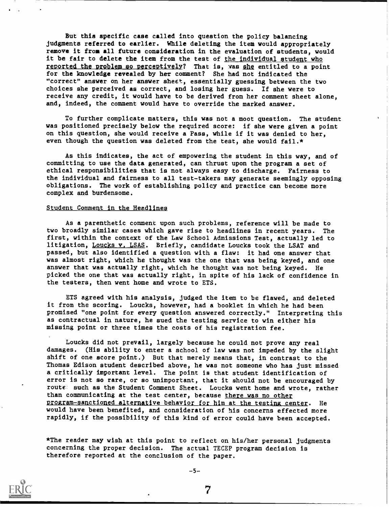But this specific case called into question the policy balancing judgments referred to earlier. While deleting the item would appropriately remove it from all future consideration in the evaluation of students, would it be fair to delete the item from the test of the individual student who reported the problem so perceptively? That is, was she entitled to a point for the knowledge revealed by her comment? She had not indicated the "correct" answer on her answer sheet, essentially guessing between the two choices she perceived as correct, and losing her guess. If she were to receive any credit, it would have to be derived from her comment sheet alone, and, indeed, the comment would have to override the marked answer.

To further complicate matters, this was not a moot question. The student was positioned precisely below the required score: if she were given a point on this question, she would receive a Pass, while if it was denied to her, even though the question was deleted from the test, she would fail. $\star$ 

As this indicates, the act of empowering the student in this way, and of committing to use the data generated, can thrust upon the program a set of ethical responsibilities that is not always easy to discharge. Fairness to the individual and fairness to all test-takers may generate seemingly opposing obligations. The work of establishing policy and practice can become more complex and burdensome.

#### Student Comment in the Headlines

As a parenthetic comment upon such problems, reference will be made to two broadly similar cases which gave rise to headlines in recent years. The first, within the context of the Law School Admissions Test, actually led to litigation, Loucks v. LSAS. Briefly, candidate Loucks took the LSAT and passed, but also identified a question with a flaw: it had one answer that was almost right, which he thought was the one that was being keyed, and one answer that was actually right, which he thought was not being keyed. He picked the one that was actually right, in spite of his lack of confidence in the testers, then went home and wrote to ETS.

ETS agreed with his analysis, judged the item to be flawed, and deleted it from the scoring. Loucks, however, had a booklet in which he had been promised "one point for every question answered correctly." Interpreting this as contractual in nature, he sued the testing service to win either his missing point or three times the costs of his registration fee.

Loucks did not prevail, largely because he could not prove any real damages. (His ability to enter a school of law was not impeded by the slight shift of one score point.) But that merely means that, in contrast to the Thomas Edison student described above, he was not someone who has just missed a critically important level. The point is that student identification of error is not so rare, or so unimportant, that it should not be encouraged by route such as the Student Comment Sheet. Loucks went home and wrote, rather than communicating at the test center, because there was no other Program-sanctioned alternative behavior for him at the testing center. He would have been benefited, and consideration of his concerns effected more rapidly, if the possibility of this kind of error could have been accepted.

\*The reader may wish at this point to reflect on his/her personal judgments concerning the proper decision. The actual TECEP program decision is therefore reported at the conclusion of the paper.



 $-5-$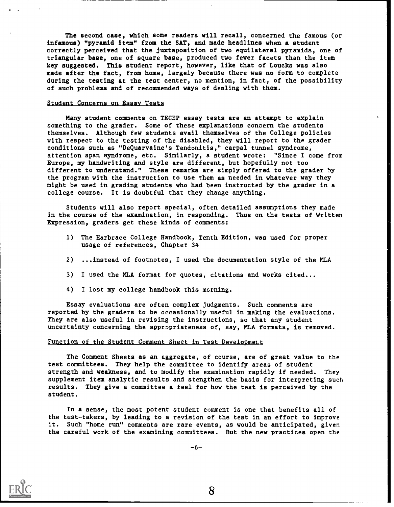The second case, which some readers will recall, concerned the famous (or infamous) "pyramid item" from the SAT, and made headlines when a student correctly perceived that the juxtaposition of two equilateral pyramids, one of triangular base, one of square base, produced two fewer facets than the item key suggested. This student report, however, like that of Loucks was also made after the fact, from home, largely because there was no form to complete during the testing at the test center, no mention, in fact, of the possibility of such problems and of recommended ways of dealing with them.

#### Student Concerns on Essay Tests

Many student comments on TECEP essay tests are an attempt to explain something to the grader. Some of these explanations concern the students themselves. Although few students avail themselves of the College policies with respect to the testing of the disabled, they will report to the grader conditions such as "DeQuarvaine's Tendonitia," carpal tunnel syndrome, attention span syndrome, etc. Similarly, a student wrote: "Since I come from Europe, my handwriting and style are different, but hopefully not too different to understand." These remarks are simply offered to the grader by the program with the instruction to use them as needed in whatever way they might be used in grading students who had been instructed by the grader in a college course. It is doubtful that they change anything.

Students will also report special, often detailed assumptions they made in the course of the examination, in responding. Thus on the tests of Written Expression, graders get these kinds of comments:

- 1) The Harbrace College Handbook, Tenth Edition, was used for proper usage of references, Chapter 34
- 2) ...instead of footnotes, I used the documentation style of the MLA
- 3) I used the MLA format for quotes, citations and works cited...
- 4) I lost my college handbook this morning.

Essay evaluations are often complex judgments. Such comments are reported by the graders to be occasionally useful in making the evaluations. They are also useful in revising the instructions, so that any student uncertainty concerning the appropriateness of, say, MLA formats, is removed.

#### Function of the Student Comment Sheet in Test Development

The Comment Sheets as an aggregate, of course, are of great value to the test committees. They help the committee to identify areas of student strength and weakness, and to modify the examination rapidly if needed. They supplement item analytic results and stengthen the basis for interpreting such results. They give a committee a feel for how the test is perceived by the student.

In a sense, the most potent student comment is one that benefits all of the test-takers, by leading to a revision of the test in an effort to improve it. Such "home run" comments are rare events, as would be anticipated, given the careful work of the examining committees. But the new practices open the

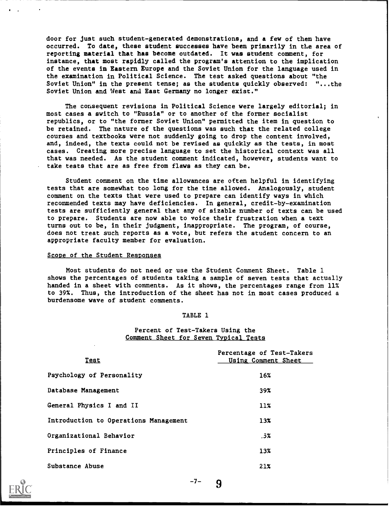door for just such student-generated demonstrations, and a few of them have occurred. To date, these student successes have been primarily in the area of reporting material that has become outdated. It was student comment, for instance, that most rapidly called the program's attention to the implication of the events in Eastern Europe and the Soviet Union for the language used in the examination in Political Science. The test asked questions about "the Soviet Union" in the present tense; as the students quickly observed: "...the Soviet Union and West and East Germany no longer exist."

The consequent revisions in Political Science were largely editorial; in most cases a switch to "Russia" or to another of the former socialist republics, or to "the former Soviet Union" permitted the item in question to be retained. The nature of the questions was such that the related college courses and textbooks were not suddenly going to drop the content involved, and, indeed, the texts could not be revised as quickly as the tests, in most cases. Creating more precise language to set the historical context was all that was needed. As the student comment indicated, however, students want to take tests that are as free from flaws as they can be.

Student comment on the time allowances are often helpful in identifying tests that are somewhat too long for the time allowed. Analogously, student comment on the texts that were used to prepare can identify ways in which recommended texts may have deficiencies. In general, credit-by-examination tests are sufficiently general that any of sizable number of texts can be used to prepare. Students are now able to voice their frustration when a text turns out to be, in their judgment, inappropriate. The program, of course, does not treat such reports as a vote, but refers the student concern to an appropriate faculty member for evaluation.

#### Scope of the Student Responses

Most students do not need or use the Student Comment Sheet. Table 1 shows the percentages of students taking a sample of seven tests that actually handed in a sheet with comments. As it shows, the percentages range from 11% to 39%. Thus, the introduction of the sheet has not in most cases produced a burdensome wave of student comments.

#### TABLE 1

### Percent of Test-Takers Using the Comment Sheet for Seven Typical Tests

| <u>Test</u>                           | Percentage of Test-Takers<br>Using Comment Sheet |
|---------------------------------------|--------------------------------------------------|
| Psychology of Personality             | 16%                                              |
| Database Management                   | 39%                                              |
| General Physics I and II              | $11\%$                                           |
| Introduction to Operations Management | 13 <sub>x</sub>                                  |
| Organizational Behavior               | .5%                                              |
| Principles of Finance                 | 13x                                              |
| Substance Abuse                       | 21x                                              |



-7-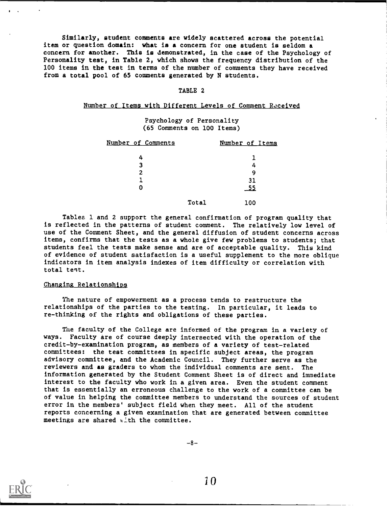Similarly, student comments are widely scattered across the potential item or question domain: what is a concern for one student is seldom a concern for another. This is demonstrated, in the case of the Psychology of Personality test, in Table 2, which shows the frequency distribution of the 100 items in the test in terms of the number of comments they have received from a total pool of 65 comments generated by N students.

#### TABLE 2

#### Number of Items with Different Levels of Comment Received

Psychology of Personality (65 Comments on 100 Items)

| Number of Comments | Number of Items |  |
|--------------------|-----------------|--|
| 4                  |                 |  |
| 3                  |                 |  |
| 2                  | q               |  |
|                    | 31              |  |
| 0                  | _55             |  |
|                    | Total<br>100    |  |

Tables 1 and 2 support the general confirmation of program quality that is reflected in the patterns of student comment. The relatively low level of use of the Comment Sheet, and the general diffusion of student concerns across items, confirms that the tests as a whole give few problems to students; that students feel the tests make sense and are of acceptable quality. This kind of evidence of student satisfaction is a useful supplement to the more oblique indicators in item analysis indexes of item difficulty or correlation with total test.

#### Changing Relationships

The nature of empowerment as a process tends to restructure the relationships of the parties to the testing. In particular, it leads to re-thinking of the rights and obligations of these parties.

The faculty of the College are informed of the program in a variety of ways. Faculty are of course deeply intersected with the operation of the credit-by-examination program, as members of a variety of test-related committees: the test committees in specific subject areas, the program advisory committee, and the Academic Council. They further serve as the reviewers and as graders to whom the individual comments are sent. The information generated by the Student Comment Sheet is of direct and immediate interest to the faculty who work in a given area. Even the student comment that is essentially an erroneous challenge to the work of a committee can be of value in helping the committee members to understand the sources of student error in the members' subject field when they meet. All of the student reports concerning a given examination that are generated between committee meetings are shared with the committee.



 $-8-$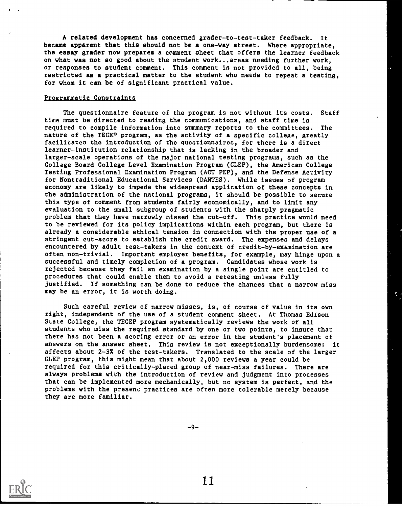A related development has concerned grader-to-test-taker feedback. It became apparent that this should not be a one-way street. Where appropriate, the essay grader now prepares a comment sheet that offers the learner feedback on what was not so good about the student work...areas needing further work, or responses to student comment. This comment is not provided to all, being restricted as a practical matter to the student who needs to repeat a testing, for whom it can be of significant practical value.

#### Programmatic Constraints

The questionnaire feature of the program is not without its costs. Staff time must be directed to reading the communications, and staff time is required to compile information into summary reports to the committees. The nature of the TECEP program, as the activity of a specific college, greatly facilitates the introduction of the questionnaires, for there is a direct learner-institution relationship that is lacking in the broader and larger-scale operations of the major national testing programs, such as the College Board College Level Examination Program (CLEP), the American College Testing Professional Examination Program (ACT PEP), and the Defense Activity for Nontraditional Educational Services (DANTES). While issues of program economy are likely to impede the widespread application of these concepts in the administration of the national programs, it should be possible to secure this type of comment from students fairly economically, and to limit any evaluation to the small subgroup of students with the sharply pragmatic problem that they have narrowly missed the cut-off. This practice would need to be reviewed for its policy implications within each program, but there is already a considerable ethical tension in connection with the proper use of a stringent cut-score to establish the credit award. The expenses and delays encountered by adult test-takers in the context of credit-by-examination are often non-trivial. Important employer benefits, for example, may hinge upon a successful and timely completion of a program. Candidates whose work is rejected because they fail an examination by a single point are entitled to procedures that could enable them to avoid a retesting unless fully justified. If something can be done to reduce the chances that a narrow miss may be an error, it is worth doing.

Such careful review of narrow misses, is, of course of value in its own right, independent of the use of a student comment sheet. At Thomas Edison State College, the TECEP program systematically reviews the work of all students who miss the required standard by one or two points, to insure that there has not been a scoring error or an error in the student's placement of answers on the answer sheet. This review is not exceptionally burdensome: it affects about 2-3% of the test-takers. Translated to the scale of the larger CLEP program, this might mean that about 2,000 reviews a year could be required for this critically-placed group of near-miss failures. There are always problems with the introduction of review and judgment into processes that can be implemented more mechanically, but no system is perfect, and the problems with the presenc practices are often more tolerable merely because they are more familiar.

ť.

-9-

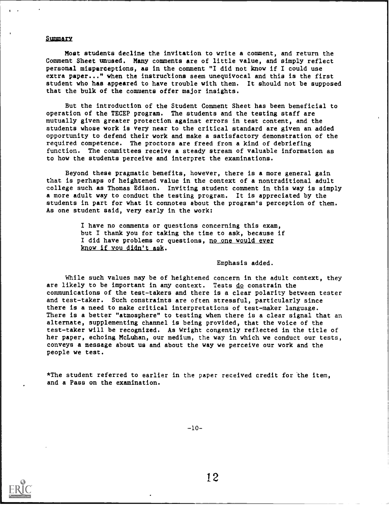#### Summary

Most students decline the invitation to write a comment, and return the Comment Sheet unused. Many comments are of little value, and simply reflect personal misperceptions, as in the comment "I did not know if I could use extra paper..." when the instructions seem unequivocal and this is the first student who has appeared to have trouble with them. It should not be supposed that the bulk of the comments offer major insights.

But the introduction of the Student Comment Sheet has been beneficial to operation of the TECEP program. The students and the testing staff are mutually given greater protection against errors in test content, and the students whose work is very near to the critical standard are given an added opportunity to defend their work and make a satisfactory demonstration of the required competence. The proctors are freed from a kind of debriefing function. The committees receive a steady stream of valuable information as to how the students perceive and interpret the examinations.

Beyond these pragmatic benefits, however, there is a more general gain that is perhaps of heightened value in the context of a nontraditional adult college such as Thomas Edison. Inviting student comment in this way is simply a more adult way to conduct the testing program. It is appreciated by the students in part for what it connotes about the program's perception of them. As one student said, very early in the work:

> I have no comments or questions concerning this exam, but I thank you for taking the time to ask, because if I did have problems or questions, no one would ever know if you didn't ask.

> > Emphasis added.

While such values may be of heightened concern in the adult context, they are likely to be important in any context. Tests do constrain the communications of the test-takers and there is a clear polarity between tester and test-taker. Such constraints are often stressful, particularly since there is a need to make critical interpretations of test-maker language. There is a better "atmosphere" to testing when there is a clear signal that an alternate, supplementing channel is being provided, that the voice of the test-taker will be recognized. As Wright congently reflected in the title of her paper, echoing McLuhan, our medium, the way in which we conduct our tests, conveys a message about us and about the way we perceive our work and the people we test.

\*The student referred to earlier in the paper received credit for 'the item, and a Pass on the examination.



 $-10-$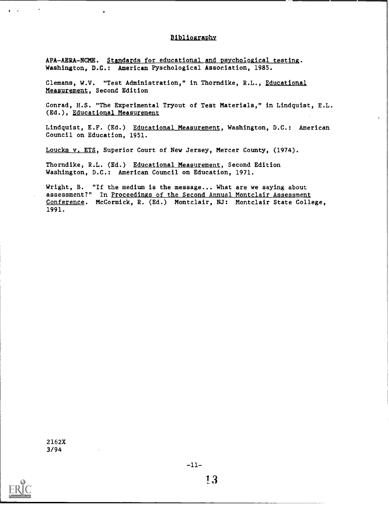#### Dibliographv

APA-AERA-NCME. Standards for educational and psychological testing. Washington, D.C.: American Pyschological Association, 1985.

Clemans, W.V. "Test Administration," in Thorndike, R.L., Educational Measurement, Second Edition

Conrad, H.S. "The Experimental Tryout of Test Materials," in Lindquist, E.L. (Ed.), Educational Measurement

Lindquist, E.F. (Ed.) Educational Measurement, Washington, D.C.: American Council on Education, 1951.

Loucks v, ETS, Superior Court of New Jersey, Mercer County, (1974).

Thorndike, R.L. (Ed.) Educational Measurement, Second Edition Washington, D.C.: American Council on Education, 1971.

Wright, B. "If the medium is the message... What are we saying about assessment?" In Proceedings of the Second Annual Montclair Assessment Conference. McCormick, R. (Ed.) Montclair, NJ: Montclair State College, 1991.

2162X 3/94

 $\mathbf{A}$  and  $\mathbf{A}$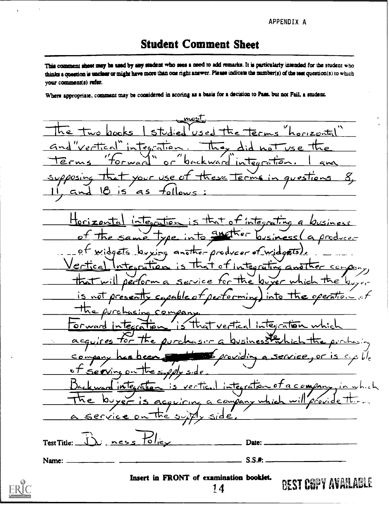APPENDIX A

# **Student Comment Sheet**

This comment sheet may be used by any student who sees a need to add remarks. It is particularly intended for the student who thinks a question is unclear or might have more than one right answer. Please indicate the number(s) of the test question(s) to which your comment(s) refer.

Where appropriate, comment may be considered in scoring as a basis for a decision to Pass, but not Fail, a student.

للحصمع  $-1.1$ rizontal  $\overline{0}$ rms intecratio backward أحبابهم  $\circ$   $\circ$  $60r$  USe يرد as  $\bullet$ that of integration Hori  $i\sqrt{e}$   $\sqrt{10}$  $\ddot{\phantom{a}}$ Ø idgets  $an \tilde{\epsilon}$ the-producer of widgets, Interration <u>i ナ。</u>† ntes rative Gn  $cc$ <u>The louver</u> <u>0ectorm</u> Sapable ectormin Integration ギで /e lecca  $acq$ enser ara, C  $\mathbf{c}$  7  $S_{10}$ <u>a compar</u>  $nTe<sub>c</sub>$ verTic 07  $\mathcal{L}$ compan ervic nes Test Title: Date:  $S.S.$ #: Name: Insert in FRONT of examination booklet. **BEST COPY AVAILABLE** 14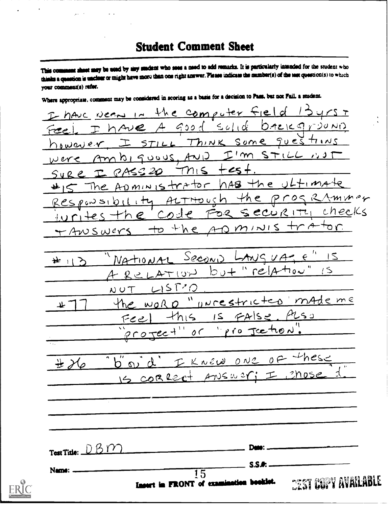# **Student Comment Sheet**

This comment sheet may be used by any student who sees a need to add remarks. It is particularly intended for the student who thinks a question is unclear or might have more than one right answer. Please indicate the number(s) of the test question(s) to which your comment(s) refer.

Where appropriate, comment may be considered in scoring as a basis for a decision to Pass, but not Fail, a student.

I have need in the computer field  $455$ have A good solid  $DAE|CQ|T20ND$ Think some questions  $STILL$ however  $h_1$  guous,  $Au_1$  $I'm$  STILL  $NST$ Am were  $+cs +$ PASS20  $\leq$  $SUEC$ ADMINISTRATOR has the ultima The the programmer Responsibility ALTHOUSh Security checks the code  $F22$  $r_1+e_5$  to the ADMINIS tra + ANSWERS Second LANSUA = " IS  $N$ A tion  $AL$ 弃 リン "relation  $b + c$  $R$ CLATION  $L$  ST<sup>2</sup>O  $N$   $\cup$   $\top$ he word "uncestricted made me  $\mathbf{u}$ this is FAISS  $ALS$ رح مے تہ pro Jection  $200$  Tec- $0<sup>o</sup>$ d' I KNEW ONE OF these  $b^{''}$  പ  $#$   $\mathcal{X}_{\varphi}$ 15 CORRECT ANSWER; I Chose Test Title:  $-DBDY$ Date: **S.S.A.** Name:  $\overline{15}$ **CEST COPY AVAILABLE** Insert in FRONT of examination beskiet.

ERIC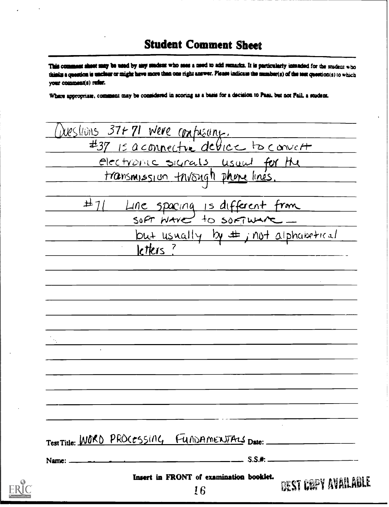# **Student Comment Sheet**

This comment shoot may be used by any student who sees a need to add remarks. It is particularly intended for the student who thinks a concrion is unclose or might have more than one right answer. Please indicate the mumber(s) of the test question(s) to which vour comment(s) rufer.

Where appropriate, comment may be considered in scoring as a basis for a decision to Pass, but not Fail, a student.

DUESTIONS 37+71 Were confuseing. #37 Is a connective device to convert electronic signals, usual for the <u>transmission trivoigh phone linés.</u>  $\pm$ 11 Line spacing is different from SOFT WATE to software\_  $\frac{\text{but usually by } \pm \text{ in } \pm \text{ about } \pm \text{ in } \pm \text{.}}{ \text{1.} \pm \text{1.}}$ Test Title: WORD PROCESSING FUNDAMENTALS Date:  $-$  S.S.#:  $-$ Name: Insert in FRONT of examination booklet. BEST COPY AVAILABLE 16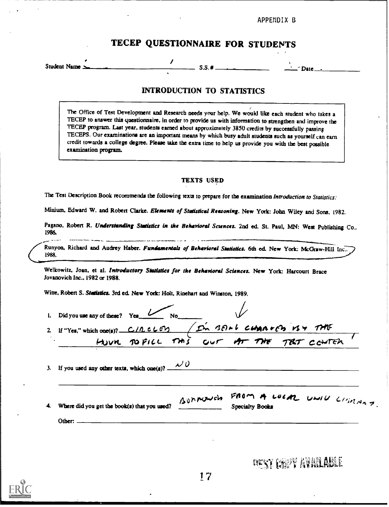APPENDIX B

# TECEP QUESTIONNAIRE FOR STUDENTS

Student Name

Date

## INTRODUCTION TO STATISTICS

 $S.S.$ #

The Office of Test Development and Research needs your help. We would like each student who takes a TECEP to answer this questionnaire, in order to provide us with information to strengthen and improve the TECEP program. Last year, students earned about approximately 3850 credits by succesafully passing TECEPS. Our examinations are an important means by which busy adult students such as yourself can earn credit towards a college degree. Please take the extra time to help us provide you with the best possible examination program.

### TEXTS USED

The Test Description Book recommends the following texts to prepare for the examination Introduction to Statistics:

Minium, Edward W. and Robert Clarke. Elements of Statistical Reasoning. New York: John Wiley and Sons, 1982.

Pagano, Robert R. Understanding Statistics in the Behavioral Sciences. 2nd ed. St. Paul, MN: West Publishing Co., 1986.

Runyon. Richard and Audrey Haber. Fundamentals of Behavioral Statistics. 6th ed. New York: McGraw-Hill Inc.. 1988.

Welkowitz, Joan, et al. Introductory Statistics for the Behavioral Sciences. New York: Harcourt Brace Jovanovich Inc., 1982 or 1988.

Witte. Robert S. Statistics. 3rd ed. New York: Holt, Rinehart and Winston, 1989.

| 2 If "Yes," which one(s)? C/RCLED / In 381-6 CHAROGO VS & THE |          |                        |                           |
|---------------------------------------------------------------|----------|------------------------|---------------------------|
| HOUR DOPICE THIS OUT AT THE TET CONTEN                        |          |                        |                           |
|                                                               |          |                        |                           |
| If you used any other texts, which one(s)? $\sim$ 0           |          |                        |                           |
| Where did you get the book(s) that you used?                  | Bunnowch | <b>Specialty Books</b> | FROM A LOCAL UNIU CHIMNAS |

**DEST COPY AVAILABLE**